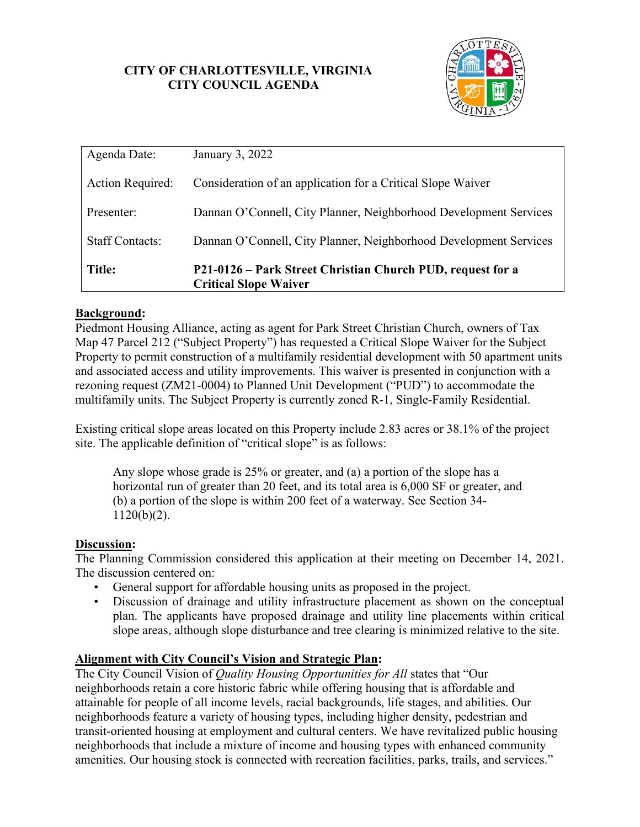## **CITY OF CHARLOTTESVILLE, VIRGINIA CITY COUNCIL AGENDA**



| Agenda Date:           | January 3, 2022                                                                            |
|------------------------|--------------------------------------------------------------------------------------------|
| Action Required:       | Consideration of an application for a Critical Slope Waiver                                |
| Presenter:             | Dannan O'Connell, City Planner, Neighborhood Development Services                          |
| <b>Staff Contacts:</b> | Dannan O'Connell, City Planner, Neighborhood Development Services                          |
| <b>Title:</b>          | P21-0126 - Park Street Christian Church PUD, request for a<br><b>Critical Slope Waiver</b> |

## **Background:**

Piedmont Housing Alliance, acting as agent for Park Street Christian Church, owners of Tax Map 47 Parcel 212 ("Subject Property") has requested a Critical Slope Waiver for the Subject Property to permit construction of a multifamily residential development with 50 apartment units and associated access and utility improvements. This waiver is presented in conjunction with a rezoning request (ZM21-0004) to Planned Unit Development ("PUD") to accommodate the multifamily units. The Subject Property is currently zoned R-1, Single-Family Residential.

Existing critical slope areas located on this Property include 2.83 acres or 38.1% of the project site. The applicable definition of "critical slope" is as follows:

Any slope whose grade is 25% or greater, and (a) a portion of the slope has a horizontal run of greater than 20 feet, and its total area is 6,000 SF or greater, and (b) a portion of the slope is within 200 feet of a waterway. See Section 34- 1120(b)(2).

### **Discussion:**

The Planning Commission considered this application at their meeting on December 14, 2021. The discussion centered on:

- General support for affordable housing units as proposed in the project.
- Discussion of drainage and utility infrastructure placement as shown on the conceptual plan. The applicants have proposed drainage and utility line placements within critical slope areas, although slope disturbance and tree clearing is minimized relative to the site.

### **Alignment with City Council's Vision and Strategic Plan:**

The City Council Vision of *Quality Housing Opportunities for All* states that "Our neighborhoods retain a core historic fabric while offering housing that is affordable and attainable for people of all income levels, racial backgrounds, life stages, and abilities. Our neighborhoods feature a variety of housing types, including higher density, pedestrian and transit-oriented housing at employment and cultural centers. We have revitalized public housing neighborhoods that include a mixture of income and housing types with enhanced community amenities. Our housing stock is connected with recreation facilities, parks, trails, and services."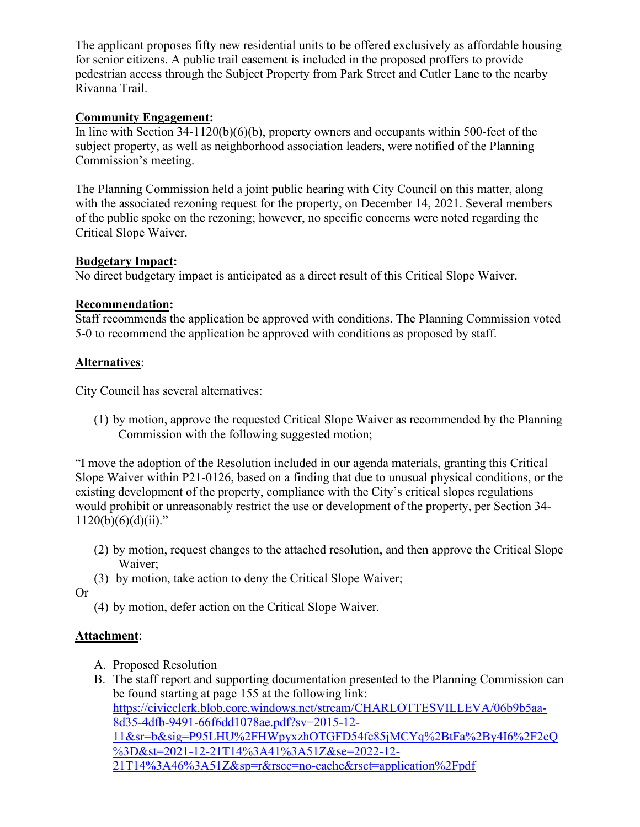The applicant proposes fifty new residential units to be offered exclusively as affordable housing for senior citizens. A public trail easement is included in the proposed proffers to provide pedestrian access through the Subject Property from Park Street and Cutler Lane to the nearby Rivanna Trail.

## **Community Engagement:**

In line with Section 34-1120(b)(6)(b), property owners and occupants within 500-feet of the subject property, as well as neighborhood association leaders, were notified of the Planning Commission's meeting.

The Planning Commission held a joint public hearing with City Council on this matter, along with the associated rezoning request for the property, on December 14, 2021. Several members of the public spoke on the rezoning; however, no specific concerns were noted regarding the Critical Slope Waiver.

### **Budgetary Impact:**

No direct budgetary impact is anticipated as a direct result of this Critical Slope Waiver.

## **Recommendation:**

Staff recommends the application be approved with conditions. The Planning Commission voted 5-0 to recommend the application be approved with conditions as proposed by staff.

## **Alternatives**:

City Council has several alternatives:

(1) by motion, approve the requested Critical Slope Waiver as recommended by the Planning Commission with the following suggested motion;

"I move the adoption of the Resolution included in our agenda materials, granting this Critical Slope Waiver within P21-0126, based on a finding that due to unusual physical conditions, or the existing development of the property, compliance with the City's critical slopes regulations would prohibit or unreasonably restrict the use or development of the property, per Section 34-  $1120(b)(6)(d)(ii)$ ."

- (2) by motion, request changes to the attached resolution, and then approve the Critical Slope Waiver;
- (3) by motion, take action to deny the Critical Slope Waiver;

Or

(4) by motion, defer action on the Critical Slope Waiver.

# **Attachment**:

- A. Proposed Resolution
- B. The staff report and supporting documentation presented to the Planning Commission can be found starting at page 155 at the following link: [https://civicclerk.blob.core.windows.net/stream/CHARLOTTESVILLEVA/06b9b5aa-](https://civicclerk.blob.core.windows.net/stream/CHARLOTTESVILLEVA/06b9b5aa-8d35-4dfb-9491-66f6dd1078ae.pdf?sv=2015-12-11&sr=b&sig=P95LHU%2FHWpyxzhOTGFD54fc85jMCYq%2BtFa%2By4I6%2F2cQ%3D&st=2021-12-21T14%3A41%3A51Z&se=2022-12-21T14%3A46%3A51Z&sp=r&rscc=no-cache&rsct=application%2Fpdf)[8d35-4dfb-9491-66f6dd1078ae.pdf?sv=2015-12-](https://civicclerk.blob.core.windows.net/stream/CHARLOTTESVILLEVA/06b9b5aa-8d35-4dfb-9491-66f6dd1078ae.pdf?sv=2015-12-11&sr=b&sig=P95LHU%2FHWpyxzhOTGFD54fc85jMCYq%2BtFa%2By4I6%2F2cQ%3D&st=2021-12-21T14%3A41%3A51Z&se=2022-12-21T14%3A46%3A51Z&sp=r&rscc=no-cache&rsct=application%2Fpdf) [11&sr=b&sig=P95LHU%2FHWpyxzhOTGFD54fc85jMCYq%2BtFa%2By4I6%2F2cQ](https://civicclerk.blob.core.windows.net/stream/CHARLOTTESVILLEVA/06b9b5aa-8d35-4dfb-9491-66f6dd1078ae.pdf?sv=2015-12-11&sr=b&sig=P95LHU%2FHWpyxzhOTGFD54fc85jMCYq%2BtFa%2By4I6%2F2cQ%3D&st=2021-12-21T14%3A41%3A51Z&se=2022-12-21T14%3A46%3A51Z&sp=r&rscc=no-cache&rsct=application%2Fpdf) [%3D&st=2021-12-21T14%3A41%3A51Z&se=2022-12-](https://civicclerk.blob.core.windows.net/stream/CHARLOTTESVILLEVA/06b9b5aa-8d35-4dfb-9491-66f6dd1078ae.pdf?sv=2015-12-11&sr=b&sig=P95LHU%2FHWpyxzhOTGFD54fc85jMCYq%2BtFa%2By4I6%2F2cQ%3D&st=2021-12-21T14%3A41%3A51Z&se=2022-12-21T14%3A46%3A51Z&sp=r&rscc=no-cache&rsct=application%2Fpdf) [21T14%3A46%3A51Z&sp=r&rscc=no-cache&rsct=application%2Fpdf](https://civicclerk.blob.core.windows.net/stream/CHARLOTTESVILLEVA/06b9b5aa-8d35-4dfb-9491-66f6dd1078ae.pdf?sv=2015-12-11&sr=b&sig=P95LHU%2FHWpyxzhOTGFD54fc85jMCYq%2BtFa%2By4I6%2F2cQ%3D&st=2021-12-21T14%3A41%3A51Z&se=2022-12-21T14%3A46%3A51Z&sp=r&rscc=no-cache&rsct=application%2Fpdf)